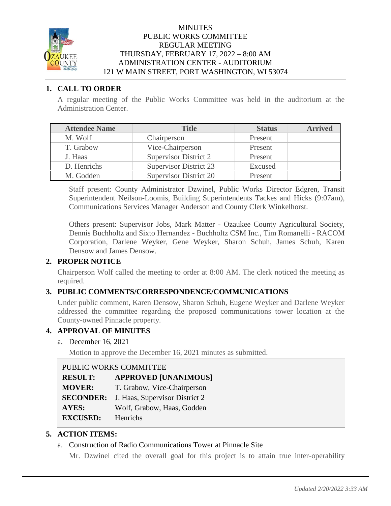

#### **MINUTES** PUBLIC WORKS COMMITTEE REGULAR MEETING THURSDAY, FEBRUARY 17, 2022 – 8:00 AM ADMINISTRATION CENTER - AUDITORIUM 121 W MAIN STREET, PORT WASHINGTON, WI 53074

## **1. CALL TO ORDER**

A regular meeting of the Public Works Committee was held in the auditorium at the Administration Center.

| <b>Attendee Name</b> | <b>Title</b>                  | <b>Status</b> | <b>Arrived</b> |
|----------------------|-------------------------------|---------------|----------------|
| M. Wolf              | Chairperson                   | Present       |                |
| T. Grabow            | Vice-Chairperson              | Present       |                |
| J. Haas              | <b>Supervisor District 2</b>  | Present       |                |
| D. Henrichs          | <b>Supervisor District 23</b> | Excused       |                |
| M. Godden            | Supervisor District 20        | Present       |                |

Staff present: County Administrator Dzwinel, Public Works Director Edgren, Transit Superintendent Neilson-Loomis, Building Superintendents Tackes and Hicks (9:07am), Communications Services Manager Anderson and County Clerk Winkelhorst.

Others present: Supervisor Jobs, Mark Matter - Ozaukee County Agricultural Society, Dennis Buchholtz and Sixto Hernandez - Buchholtz CSM Inc., Tim Romanelli - RACOM Corporation, Darlene Weyker, Gene Weyker, Sharon Schuh, James Schuh, Karen Densow and James Densow.

# **2. PROPER NOTICE**

Chairperson Wolf called the meeting to order at 8:00 AM. The clerk noticed the meeting as required.

# **3. PUBLIC COMMENTS/CORRESPONDENCE/COMMUNICATIONS**

Under public comment, Karen Densow, Sharon Schuh, Eugene Weyker and Darlene Weyker addressed the committee regarding the proposed communications tower location at the County-owned Pinnacle property.

### **4. APPROVAL OF MINUTES**

a. December 16, 2021

Motion to approve the December 16, 2021 minutes as submitted.

# PUBLIC WORKS COMMITTEE

| <b>RESULT:</b>   | <b>APPROVED [UNANIMOUS]</b>    |
|------------------|--------------------------------|
| <b>MOVER:</b>    | T. Grabow, Vice-Chairperson    |
| <b>SECONDER:</b> | J. Haas, Supervisor District 2 |
| <b>AYES:</b>     | Wolf, Grabow, Haas, Godden     |
| <b>EXCUSED:</b>  | Henrichs                       |

### **5. ACTION ITEMS:**

### a. Construction of Radio Communications Tower at Pinnacle Site

Mr. Dzwinel cited the overall goal for this project is to attain true inter-operability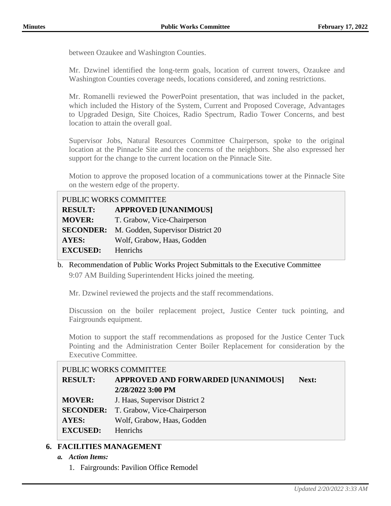between Ozaukee and Washington Counties.

Mr. Dzwinel identified the long-term goals, location of current towers, Ozaukee and Washington Counties coverage needs, locations considered, and zoning restrictions.

Mr. Romanelli reviewed the PowerPoint presentation, that was included in the packet, which included the History of the System, Current and Proposed Coverage, Advantages to Upgraded Design, Site Choices, Radio Spectrum, Radio Tower Concerns, and best location to attain the overall goal.

Supervisor Jobs, Natural Resources Committee Chairperson, spoke to the original location at the Pinnacle Site and the concerns of the neighbors. She also expressed her support for the change to the current location on the Pinnacle Site.

Motion to approve the proposed location of a communications tower at the Pinnacle Site on the western edge of the property.

| PUBLIC WORKS COMMITTEE |                                   |
|------------------------|-----------------------------------|
| <b>RESULT:</b>         | <b>APPROVED [UNANIMOUS]</b>       |
| <b>MOVER:</b>          | T. Grabow, Vice-Chairperson       |
| <b>SECONDER:</b>       | M. Godden, Supervisor District 20 |
| <b>AYES:</b>           | Wolf, Grabow, Haas, Godden        |
| <b>EXCUSED:</b>        | Henrichs                          |

b. Recommendation of Public Works Project Submittals to the Executive Committee 9:07 AM Building Superintendent Hicks joined the meeting.

Mr. Dzwinel reviewed the projects and the staff recommendations.

Discussion on the boiler replacement project, Justice Center tuck pointing, and Fairgrounds equipment.

Motion to support the staff recommendations as proposed for the Justice Center Tuck Pointing and the Administration Center Boiler Replacement for consideration by the Executive Committee.

# PUBLIC WORKS COMMITTEE **RESULT: APPROVED AND FORWARDED [UNANIMOUS] Next: 2/28/2022 3:00 PM MOVER:** J. Haas, Supervisor District 2 **SECONDER:** T. Grabow, Vice-Chairperson **AYES:** Wolf, Grabow, Haas, Godden **EXCUSED:** Henrichs

# **6. FACILITIES MANAGEMENT**

- *a. Action Items:*
	- 1. Fairgrounds: Pavilion Office Remodel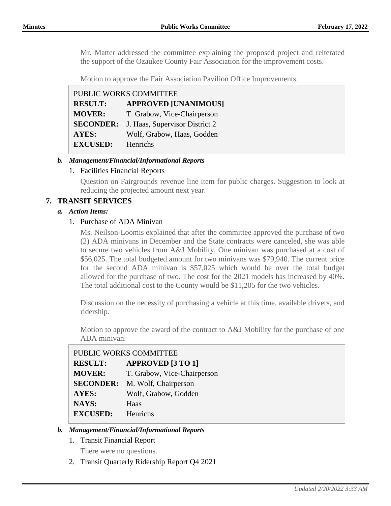Mr. Matter addressed the committee explaining the proposed project and reiterated the support of the Ozaukee County Fair Association for the improvement costs.

Motion to approve the Fair Association Pavilion Office Improvements.

| PUBLIC WORKS COMMITTEE |                                |
|------------------------|--------------------------------|
| <b>RESULT:</b>         | <b>APPROVED [UNANIMOUS]</b>    |
| <b>MOVER:</b>          | T. Grabow, Vice-Chairperson    |
| <b>SECONDER:</b>       | J. Haas, Supervisor District 2 |
| <b>AYES:</b>           | Wolf, Grabow, Haas, Godden     |
| <b>EXCUSED:</b>        | Henrichs                       |

#### *b. Management/Financial/Informational Reports*

#### 1. Facilities Financial Reports

Question on Fairgrounds revenue line item for public charges. Suggestion to look at reducing the projected amount next year.

### **7. TRANSIT SERVICES**

#### *a. Action Items:*

#### 1. Purchase of ADA Minivan

Ms. Neilson-Loomis explained that after the committee approved the purchase of two (2) ADA minivans in December and the State contracts were canceled, she was able to secure two vehicles from A&J Mobility. One minivan was purchased at a cost of \$56,025. The total budgeted amount for two minivans was \$79,940. The current price for the second ADA minivan is \$57,025 which would be over the total budget allowed for the purchase of two. The cost for the 2021 models has increased by 40%. The total additional cost to the County would be \$11,205 for the two vehicles.

Discussion on the necessity of purchasing a vehicle at this time, available drivers, and ridership.

Motion to approve the award of the contract to A&J Mobility for the purchase of one ADA minivan.

| PUBLIC WORKS COMMITTEE |                             |
|------------------------|-----------------------------|
| <b>RESULT:</b>         | <b>APPROVED [3 TO 1]</b>    |
| <b>MOVER:</b>          | T. Grabow, Vice-Chairperson |
| <b>SECONDER:</b>       | M. Wolf, Chairperson        |
| <b>AYES:</b>           | Wolf, Grabow, Godden        |
| <b>NAYS:</b>           | Haas                        |
| <b>EXCUSED:</b>        | Henrichs                    |

#### *b. Management/Financial/Informational Reports*

1. Transit Financial Report

There were no questions.

2. Transit Quarterly Ridership Report Q4 2021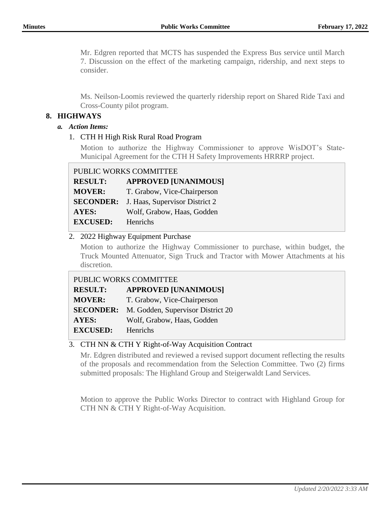Mr. Edgren reported that MCTS has suspended the Express Bus service until March 7. Discussion on the effect of the marketing campaign, ridership, and next steps to consider.

Ms. Neilson-Loomis reviewed the quarterly ridership report on Shared Ride Taxi and Cross-County pilot program.

### **8. HIGHWAYS**

- *a. Action Items:*
	- 1. CTH H High Risk Rural Road Program

Motion to authorize the Highway Commissioner to approve WisDOT's State-Municipal Agreement for the CTH H Safety Improvements HRRRP project.

### PUBLIC WORKS COMMITTEE

| <b>RESULT:</b>   | <b>APPROVED [UNANIMOUS]</b>    |
|------------------|--------------------------------|
| <b>MOVER:</b>    | T. Grabow, Vice-Chairperson    |
| <b>SECONDER:</b> | J. Haas, Supervisor District 2 |
| <b>AYES:</b>     | Wolf, Grabow, Haas, Godden     |
| <b>EXCUSED:</b>  | Henrichs                       |

#### 2. 2022 Highway Equipment Purchase

Motion to authorize the Highway Commissioner to purchase, within budget, the Truck Mounted Attenuator, Sign Truck and Tractor with Mower Attachments at his discretion.

| PUBLIC WORKS COMMITTEE |                                                    |
|------------------------|----------------------------------------------------|
| <b>RESULT:</b>         | <b>APPROVED [UNANIMOUS]</b>                        |
| <b>MOVER:</b>          | T. Grabow, Vice-Chairperson                        |
|                        | <b>SECONDER:</b> M. Godden, Supervisor District 20 |
| <b>AYES:</b>           | Wolf, Grabow, Haas, Godden                         |
| <b>EXCUSED:</b>        | Henrichs                                           |

### 3. CTH NN & CTH Y Right-of-Way Acquisition Contract

Mr. Edgren distributed and reviewed a revised support document reflecting the results of the proposals and recommendation from the Selection Committee. Two (2) firms submitted proposals: The Highland Group and Steigerwaldt Land Services.

Motion to approve the Public Works Director to contract with Highland Group for CTH NN & CTH Y Right-of-Way Acquisition.